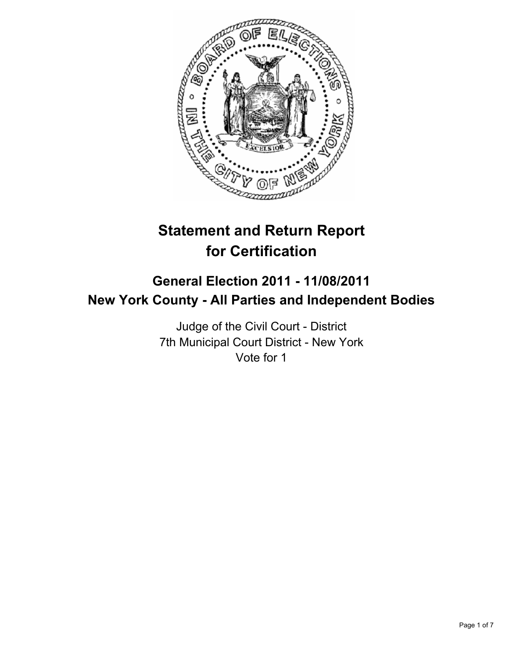

# **Statement and Return Report for Certification**

## **General Election 2011 - 11/08/2011 New York County - All Parties and Independent Bodies**

Judge of the Civil Court - District 7th Municipal Court District - New York Vote for 1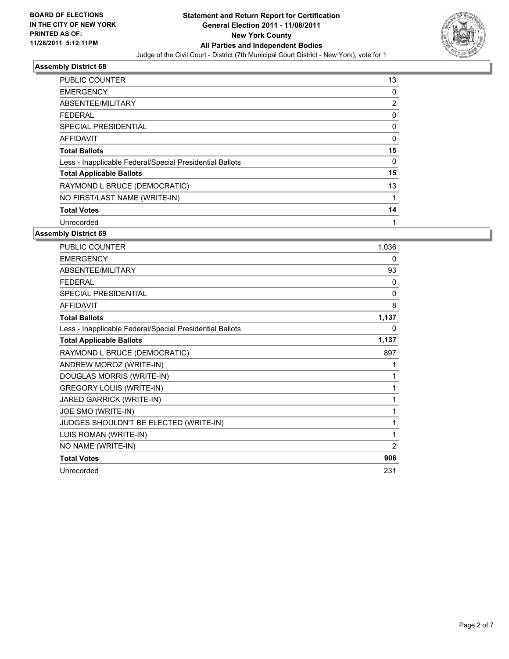

| <b>PUBLIC COUNTER</b>                                    | 13          |
|----------------------------------------------------------|-------------|
| <b>EMERGENCY</b>                                         | 0           |
| ABSENTEE/MILITARY                                        | 2           |
| <b>FEDERAL</b>                                           | $\mathbf 0$ |
| SPECIAL PRESIDENTIAL                                     | 0           |
| <b>AFFIDAVIT</b>                                         | $\mathbf 0$ |
| <b>Total Ballots</b>                                     | 15          |
| Less - Inapplicable Federal/Special Presidential Ballots | 0           |
| <b>Total Applicable Ballots</b>                          | 15          |
| RAYMOND L BRUCE (DEMOCRATIC)                             | 13          |
| NO FIRST/LAST NAME (WRITE-IN)                            |             |
| <b>Total Votes</b>                                       | 14          |
| Unrecorded                                               | 1           |

| <b>PUBLIC COUNTER</b>                                    | 1,036          |
|----------------------------------------------------------|----------------|
| <b>EMERGENCY</b>                                         | 0              |
| ABSENTEE/MILITARY                                        | 93             |
| <b>FEDERAL</b>                                           | $\mathbf{0}$   |
| SPECIAL PRESIDENTIAL                                     | 0              |
| <b>AFFIDAVIT</b>                                         | 8              |
| <b>Total Ballots</b>                                     | 1,137          |
| Less - Inapplicable Federal/Special Presidential Ballots | 0              |
| <b>Total Applicable Ballots</b>                          | 1,137          |
| RAYMOND L BRUCE (DEMOCRATIC)                             | 897            |
| ANDREW MOROZ (WRITE-IN)                                  | 1              |
| DOUGLAS MORRIS (WRITE-IN)                                | 1              |
| <b>GREGORY LOUIS (WRITE-IN)</b>                          | 1              |
| JARED GARRICK (WRITE-IN)                                 | 1              |
| JOE SMO (WRITE-IN)                                       | 1              |
| JUDGES SHOULDN'T BE ELECTED (WRITE-IN)                   | 1              |
| LUIS ROMAN (WRITE-IN)                                    | 1              |
| NO NAME (WRITE-IN)                                       | $\overline{2}$ |
| <b>Total Votes</b>                                       | 906            |
| Unrecorded                                               | 231            |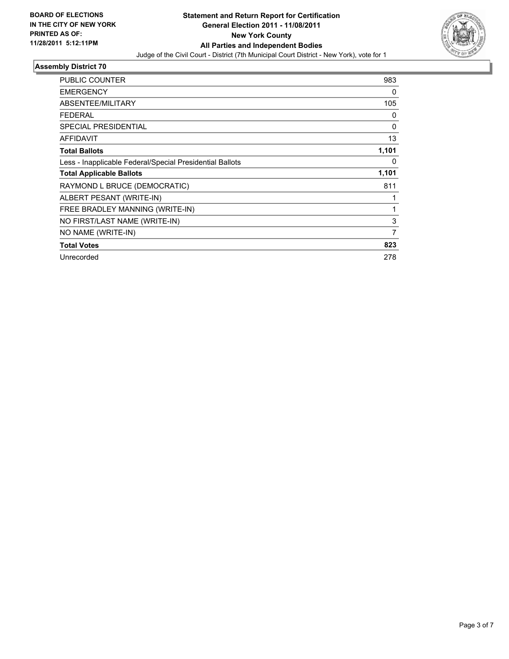

| <b>PUBLIC COUNTER</b>                                    | 983            |
|----------------------------------------------------------|----------------|
| <b>EMERGENCY</b>                                         | 0              |
| ABSENTEE/MILITARY                                        | 105            |
| <b>FEDERAL</b>                                           | 0              |
| <b>SPECIAL PRESIDENTIAL</b>                              | 0              |
| <b>AFFIDAVIT</b>                                         | 13             |
| <b>Total Ballots</b>                                     | 1,101          |
| Less - Inapplicable Federal/Special Presidential Ballots | 0              |
| <b>Total Applicable Ballots</b>                          | 1,101          |
| RAYMOND L BRUCE (DEMOCRATIC)                             | 811            |
| ALBERT PESANT (WRITE-IN)                                 |                |
| FREE BRADLEY MANNING (WRITE-IN)                          | 1              |
| NO FIRST/LAST NAME (WRITE-IN)                            | 3              |
| NO NAME (WRITE-IN)                                       | $\overline{7}$ |
| <b>Total Votes</b>                                       | 823            |
| Unrecorded                                               | 278            |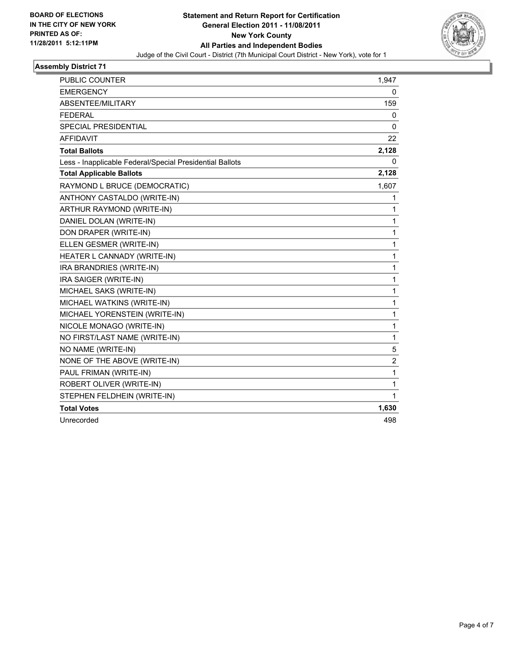

| PUBLIC COUNTER                                           | 1,947        |
|----------------------------------------------------------|--------------|
| <b>EMERGENCY</b>                                         | 0            |
| ABSENTEE/MILITARY                                        | 159          |
| <b>FEDERAL</b>                                           | 0            |
| <b>SPECIAL PRESIDENTIAL</b>                              | 0            |
| <b>AFFIDAVIT</b>                                         | 22           |
| <b>Total Ballots</b>                                     | 2,128        |
| Less - Inapplicable Federal/Special Presidential Ballots | 0            |
| <b>Total Applicable Ballots</b>                          | 2,128        |
| RAYMOND L BRUCE (DEMOCRATIC)                             | 1,607        |
| ANTHONY CASTALDO (WRITE-IN)                              | 1            |
| ARTHUR RAYMOND (WRITE-IN)                                | 1            |
| DANIEL DOLAN (WRITE-IN)                                  | 1            |
| DON DRAPER (WRITE-IN)                                    | 1            |
| ELLEN GESMER (WRITE-IN)                                  | 1            |
| HEATER L CANNADY (WRITE-IN)                              | 1            |
| IRA BRANDRIES (WRITE-IN)                                 | 1            |
| IRA SAIGER (WRITE-IN)                                    | 1            |
| MICHAEL SAKS (WRITE-IN)                                  | 1            |
| MICHAEL WATKINS (WRITE-IN)                               | 1            |
| MICHAEL YORENSTEIN (WRITE-IN)                            | 1            |
| NICOLE MONAGO (WRITE-IN)                                 | 1            |
| NO FIRST/LAST NAME (WRITE-IN)                            | 1            |
| NO NAME (WRITE-IN)                                       | 5            |
| NONE OF THE ABOVE (WRITE-IN)                             | 2            |
| PAUL FRIMAN (WRITE-IN)                                   | $\mathbf{1}$ |
| ROBERT OLIVER (WRITE-IN)                                 | 1            |
| STEPHEN FELDHEIN (WRITE-IN)                              | 1            |
| <b>Total Votes</b>                                       | 1,630        |
| Unrecorded                                               | 498          |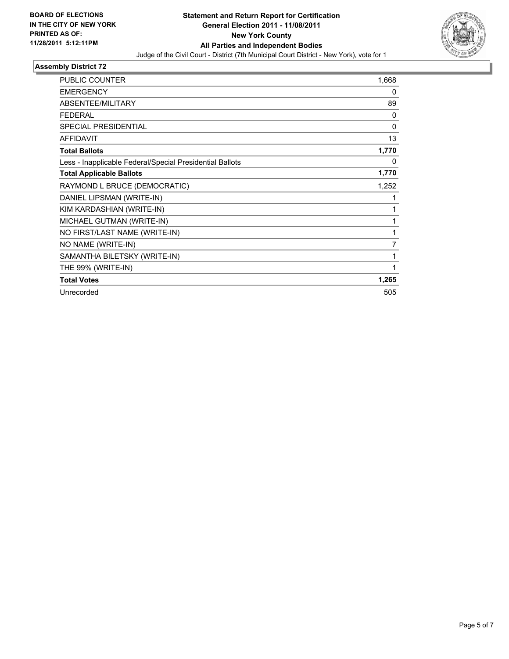

| <b>PUBLIC COUNTER</b>                                    | 1,668        |
|----------------------------------------------------------|--------------|
| <b>EMERGENCY</b>                                         | 0            |
| ABSENTEE/MILITARY                                        | 89           |
| <b>FEDERAL</b>                                           | 0            |
| <b>SPECIAL PRESIDENTIAL</b>                              | $\mathbf{0}$ |
| <b>AFFIDAVIT</b>                                         | 13           |
| <b>Total Ballots</b>                                     | 1,770        |
| Less - Inapplicable Federal/Special Presidential Ballots | 0            |
| <b>Total Applicable Ballots</b>                          | 1,770        |
| RAYMOND L BRUCE (DEMOCRATIC)                             | 1,252        |
| DANIEL LIPSMAN (WRITE-IN)                                | 1            |
| KIM KARDASHIAN (WRITE-IN)                                | 1            |
| MICHAEL GUTMAN (WRITE-IN)                                | 1            |
| NO FIRST/LAST NAME (WRITE-IN)                            | 1            |
| NO NAME (WRITE-IN)                                       | 7            |
| SAMANTHA BILETSKY (WRITE-IN)                             | 1            |
| THE 99% (WRITE-IN)                                       | 1            |
| <b>Total Votes</b>                                       | 1,265        |
| Unrecorded                                               | 505          |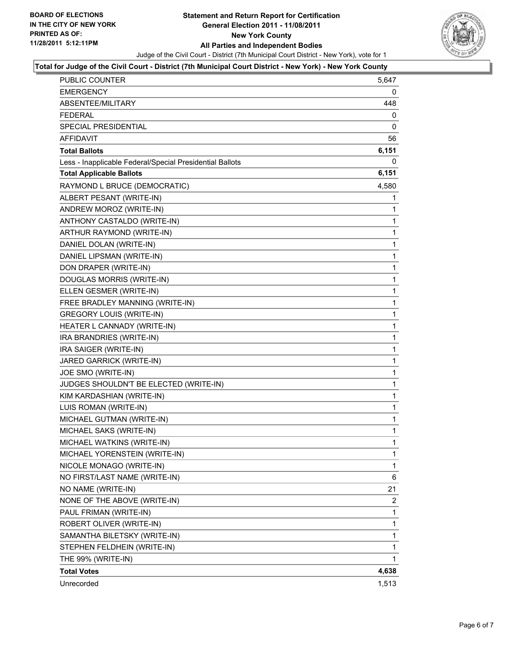

#### **Total for Judge of the Civil Court - District (7th Municipal Court District - New York) - New York County**

| <b>PUBLIC COUNTER</b>                                    | 5,647        |
|----------------------------------------------------------|--------------|
| <b>EMERGENCY</b>                                         | 0            |
| ABSENTEE/MILITARY                                        | 448          |
| <b>FEDERAL</b>                                           | 0            |
| <b>SPECIAL PRESIDENTIAL</b>                              | 0            |
| <b>AFFIDAVIT</b>                                         | 56           |
| <b>Total Ballots</b>                                     | 6,151        |
| Less - Inapplicable Federal/Special Presidential Ballots | 0            |
| <b>Total Applicable Ballots</b>                          | 6,151        |
| RAYMOND L BRUCE (DEMOCRATIC)                             | 4,580        |
| ALBERT PESANT (WRITE-IN)                                 | 1            |
| ANDREW MOROZ (WRITE-IN)                                  | 1            |
| ANTHONY CASTALDO (WRITE-IN)                              | 1            |
| ARTHUR RAYMOND (WRITE-IN)                                | 1            |
| DANIEL DOLAN (WRITE-IN)                                  | 1            |
| DANIEL LIPSMAN (WRITE-IN)                                | 1            |
| DON DRAPER (WRITE-IN)                                    | $\mathbf{1}$ |
| DOUGLAS MORRIS (WRITE-IN)                                | 1            |
| ELLEN GESMER (WRITE-IN)                                  | 1            |
| FREE BRADLEY MANNING (WRITE-IN)                          | 1            |
| <b>GREGORY LOUIS (WRITE-IN)</b>                          | 1            |
| HEATER L CANNADY (WRITE-IN)                              | 1            |
| IRA BRANDRIES (WRITE-IN)                                 | $\mathbf{1}$ |
| IRA SAIGER (WRITE-IN)                                    | 1            |
| JARED GARRICK (WRITE-IN)                                 | 1            |
| JOE SMO (WRITE-IN)                                       | $\mathbf{1}$ |
| JUDGES SHOULDN'T BE ELECTED (WRITE-IN)                   | 1            |
| KIM KARDASHIAN (WRITE-IN)                                | 1            |
| LUIS ROMAN (WRITE-IN)                                    | $\mathbf{1}$ |
| MICHAEL GUTMAN (WRITE-IN)                                | 1            |
| MICHAEL SAKS (WRITE-IN)                                  | 1            |
| MICHAEL WATKINS (WRITE-IN)                               | 1            |
| MICHAEL YORENSTEIN (WRITE-IN)                            | 1            |
| NICOLE MONAGO (WRITE-IN)                                 | 1            |
| NO FIRST/LAST NAME (WRITE-IN)                            | 6            |
| NO NAME (WRITE-IN)                                       | 21           |
| NONE OF THE ABOVE (WRITE-IN)                             | 2            |
| PAUL FRIMAN (WRITE-IN)                                   | 1            |
| ROBERT OLIVER (WRITE-IN)                                 | 1            |
| SAMANTHA BILETSKY (WRITE-IN)                             | 1            |
| STEPHEN FELDHEIN (WRITE-IN)                              | 1            |
| THE 99% (WRITE-IN)                                       | 1            |
| <b>Total Votes</b>                                       | 4,638        |
| Unrecorded                                               | 1,513        |